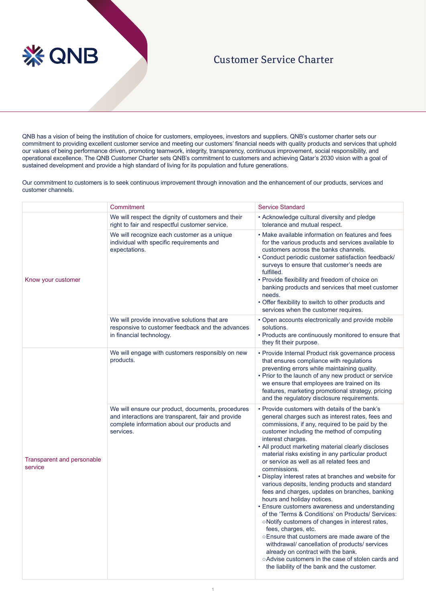## **※ QNB**

## Customer Service Charter

QNB has a vision of being the institution of choice for customers, employees, investors and suppliers. QNB's customer charter sets our commitment to providing excellent customer service and meeting our customers' financial needs with quality products and services that uphold our values of being performance driven, promoting teamwork, integrity, transparency, continuous improvement, social responsibility, and operational excellence. The QNB Customer Charter sets QNB's commitment to customers and achieving Qatar's 2030 vision with a goal of sustained development and provide a high standard of living for its population and future generations.

Our commitment to customers is to seek continuous improvement through innovation and the enhancement of our products, services and customer channels.

|                                       | Commitment                                                                                                                                                          | <b>Service Standard</b>                                                                                                                                                                                                                                                                                                                                                                                                                                                                                                                                                                                                                                                                                                                                                                                                                                                                                                                                                                                                       |
|---------------------------------------|---------------------------------------------------------------------------------------------------------------------------------------------------------------------|-------------------------------------------------------------------------------------------------------------------------------------------------------------------------------------------------------------------------------------------------------------------------------------------------------------------------------------------------------------------------------------------------------------------------------------------------------------------------------------------------------------------------------------------------------------------------------------------------------------------------------------------------------------------------------------------------------------------------------------------------------------------------------------------------------------------------------------------------------------------------------------------------------------------------------------------------------------------------------------------------------------------------------|
| Know your customer                    | We will respect the dignity of customers and their<br>right to fair and respectful customer service.                                                                | • Acknowledge cultural diversity and pledge<br>tolerance and mutual respect.                                                                                                                                                                                                                                                                                                                                                                                                                                                                                                                                                                                                                                                                                                                                                                                                                                                                                                                                                  |
|                                       | We will recognize each customer as a unique<br>individual with specific requirements and<br>expectations.                                                           | • Make available information on features and fees<br>for the various products and services available to<br>customers across the banks channels.<br>• Conduct periodic customer satisfaction feedback/<br>surveys to ensure that customer's needs are<br>fulfilled.<br>• Provide flexibility and freedom of choice on<br>banking products and services that meet customer<br>needs.<br>• Offer flexibility to switch to other products and<br>services when the customer requires.                                                                                                                                                                                                                                                                                                                                                                                                                                                                                                                                             |
|                                       | We will provide innovative solutions that are<br>responsive to customer feedback and the advances<br>in financial technology.                                       | • Open accounts electronically and provide mobile<br>solutions.<br>• Products are continuously monitored to ensure that<br>they fit their purpose.                                                                                                                                                                                                                                                                                                                                                                                                                                                                                                                                                                                                                                                                                                                                                                                                                                                                            |
| Transparent and personable<br>service | We will engage with customers responsibly on new<br>products.                                                                                                       | • Provide Internal Product risk governance process<br>that ensures compliance with regulations<br>preventing errors while maintaining quality.<br>• Prior to the launch of any new product or service<br>we ensure that employees are trained on its<br>features, marketing promotional strategy, pricing<br>and the regulatory disclosure requirements.                                                                                                                                                                                                                                                                                                                                                                                                                                                                                                                                                                                                                                                                      |
|                                       | We will ensure our product, documents, procedures<br>and interactions are transparent, fair and provide<br>complete information about our products and<br>services. | • Provide customers with details of the bank's<br>general charges such as interest rates, fees and<br>commissions, if any, required to be paid by the<br>customer including the method of computing<br>interest charges.<br>• All product marketing material clearly discloses<br>material risks existing in any particular product<br>or service as well as all related fees and<br>commissions.<br>• Display interest rates at branches and website for<br>various deposits, lending products and standard<br>fees and charges, updates on branches, banking<br>hours and holiday notices.<br>• Ensure customers awareness and understanding<br>of the 'Terms & Conditions' on Products/ Services:<br>o Notify customers of changes in interest rates,<br>fees, charges, etc.<br>○ Ensure that customers are made aware of the<br>withdrawal/ cancellation of products/ services<br>already on contract with the bank.<br>o Advise customers in the case of stolen cards and<br>the liability of the bank and the customer. |